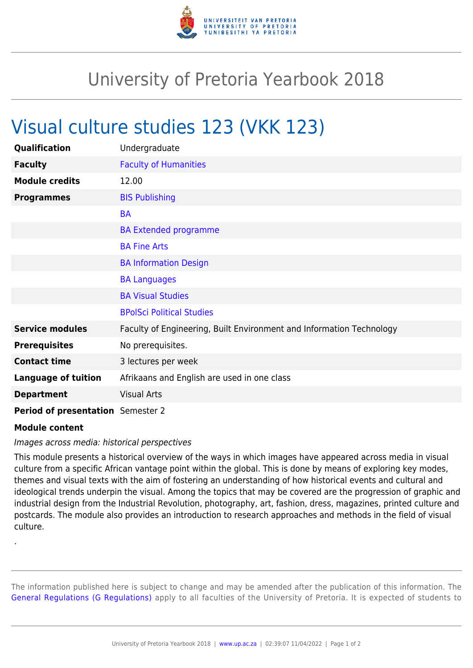

## University of Pretoria Yearbook 2018

## Visual culture studies 123 (VKK 123)

| Qualification                     | Undergraduate                                                        |
|-----------------------------------|----------------------------------------------------------------------|
| <b>Faculty</b>                    | <b>Faculty of Humanities</b>                                         |
| <b>Module credits</b>             | 12.00                                                                |
| <b>Programmes</b>                 | <b>BIS Publishing</b>                                                |
|                                   | <b>BA</b>                                                            |
|                                   | <b>BA Extended programme</b>                                         |
|                                   | <b>BA Fine Arts</b>                                                  |
|                                   | <b>BA Information Design</b>                                         |
|                                   | <b>BA Languages</b>                                                  |
|                                   | <b>BA Visual Studies</b>                                             |
|                                   | <b>BPolSci Political Studies</b>                                     |
| <b>Service modules</b>            | Faculty of Engineering, Built Environment and Information Technology |
| <b>Prerequisites</b>              | No prerequisites.                                                    |
| <b>Contact time</b>               | 3 lectures per week                                                  |
| <b>Language of tuition</b>        | Afrikaans and English are used in one class                          |
| <b>Department</b>                 | <b>Visual Arts</b>                                                   |
| Period of presentation Semester 2 |                                                                      |

## **Module content**

.

## Images across media: historical perspectives

This module presents a historical overview of the ways in which images have appeared across media in visual culture from a specific African vantage point within the global. This is done by means of exploring key modes, themes and visual texts with the aim of fostering an understanding of how historical events and cultural and ideological trends underpin the visual. Among the topics that may be covered are the progression of graphic and industrial design from the Industrial Revolution, photography, art, fashion, dress, magazines, printed culture and postcards. The module also provides an introduction to research approaches and methods in the field of visual culture.

The information published here is subject to change and may be amended after the publication of this information. The [General Regulations \(G Regulations\)](https://www.up.ac.za/yearbooks/2018/rules/view/REG) apply to all faculties of the University of Pretoria. It is expected of students to